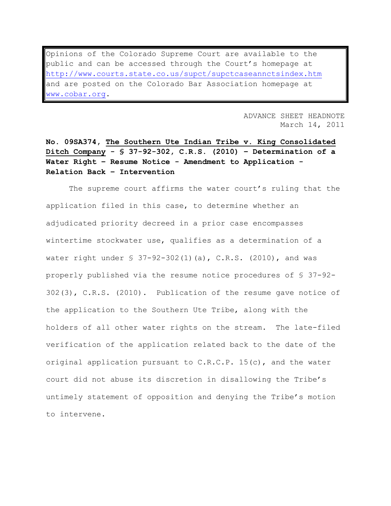Opinions of the Colorado Supreme Court are available to the public and can be accessed through the Court's homepage at <http://www.courts.state.co.us/supct/supctcaseannctsindex.htm> and are posted on the Colorado Bar Association homepage at [www.cobar.org.](http://www.cobar.org/)

> ADVANCE SHEET HEADNOTE March 14, 2011

**No. 09SA374, The Southern Ute Indian Tribe v. King Consolidated Ditch Company - § 37-92-302, C.R.S. (2010) – Determination of a Water Right – Resume Notice - Amendment to Application - Relation Back – Intervention**

The supreme court affirms the water court's ruling that the application filed in this case, to determine whether an adjudicated priority decreed in a prior case encompasses wintertime stockwater use, qualifies as a determination of a water right under  $\frac{1}{5}$  37-92-302(1)(a), C.R.S. (2010), and was properly published via the resume notice procedures of § 37-92- 302(3), C.R.S. (2010). Publication of the resume gave notice of the application to the Southern Ute Tribe, along with the holders of all other water rights on the stream. The late-filed verification of the application related back to the date of the original application pursuant to C.R.C.P. 15(c), and the water court did not abuse its discretion in disallowing the Tribe"s untimely statement of opposition and denying the Tribe's motion to intervene.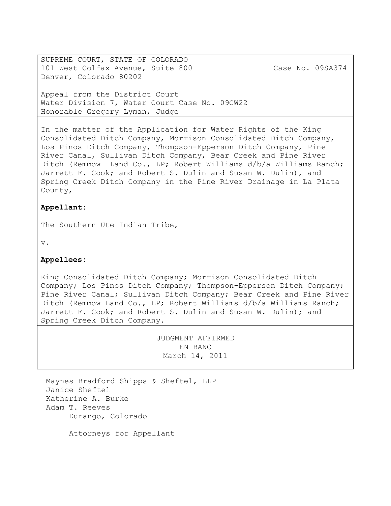SUPREME COURT, STATE OF COLORADO 101 West Colfax Avenue, Suite 800 Denver, Colorado 80202 Appeal from the District Court Water Division 7, Water Court Case No. 09CW22 Honorable Gregory Lyman, Judge Case No. 09SA374

In the matter of the Application for Water Rights of the King Consolidated Ditch Company, Morrison Consolidated Ditch Company, Los Pinos Ditch Company, Thompson-Epperson Ditch Company, Pine River Canal, Sullivan Ditch Company, Bear Creek and Pine River Ditch (Remmow Land Co., LP; Robert Williams d/b/a Williams Ranch; Jarrett F. Cook; and Robert S. Dulin and Susan W. Dulin), and Spring Creek Ditch Company in the Pine River Drainage in La Plata County,

# **Appellant:**

The Southern Ute Indian Tribe,

v.

# **Appellees:**

King Consolidated Ditch Company; Morrison Consolidated Ditch Company; Los Pinos Ditch Company; Thompson-Epperson Ditch Company; Pine River Canal; Sullivan Ditch Company; Bear Creek and Pine River Ditch (Remmow Land Co., LP; Robert Williams d/b/a Williams Ranch; Jarrett F. Cook; and Robert S. Dulin and Susan W. Dulin); and Spring Creek Ditch Company.

> JUDGMENT AFFIRMED EN BANC March 14, 2011

Maynes Bradford Shipps & Sheftel, LLP Janice Sheftel Katherine A. Burke Adam T. Reeves Durango, Colorado

Attorneys for Appellant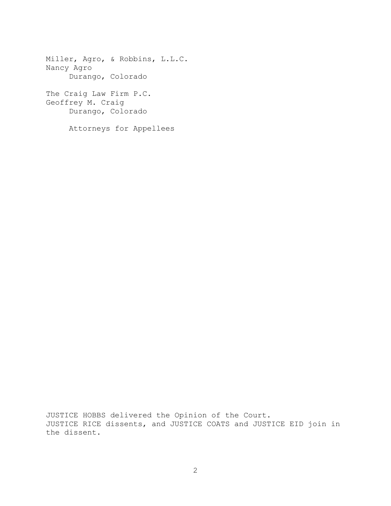Miller, Agro, & Robbins, L.L.C. Nancy Agro Durango, Colorado The Craig Law Firm P.C. Geoffrey M. Craig Durango, Colorado Attorneys for Appellees

JUSTICE HOBBS delivered the Opinion of the Court. JUSTICE RICE dissents, and JUSTICE COATS and JUSTICE EID join in the dissent.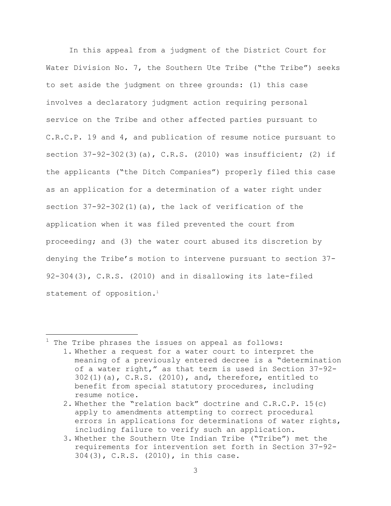In this appeal from a judgment of the District Court for Water Division No. 7, the Southern Ute Tribe ("the Tribe") seeks to set aside the judgment on three grounds: (1) this case involves a declaratory judgment action requiring personal service on the Tribe and other affected parties pursuant to C.R.C.P. 19 and 4, and publication of resume notice pursuant to section 37-92-302(3)(a), C.R.S. (2010) was insufficient; (2) if the applicants ("the Ditch Companies") properly filed this case as an application for a determination of a water right under section  $37-92-302(1)$  (a), the lack of verification of the application when it was filed prevented the court from proceeding; and (3) the water court abused its discretion by denying the Tribe"s motion to intervene pursuant to section 37- 92-304(3), C.R.S. (2010) and in disallowing its late-filed statement of opposition.<sup>1</sup>

L,

The Tribe phrases the issues on appeal as follows:

<sup>1.</sup> Whether a request for a water court to interpret the meaning of a previously entered decree is a "determination of a water right," as that term is used in Section 37-92- 302(1)(a), C.R.S. (2010), and, therefore, entitled to benefit from special statutory procedures, including resume notice.

<sup>2.</sup> Whether the "relation back" doctrine and C.R.C.P. 15(c) apply to amendments attempting to correct procedural errors in applications for determinations of water rights, including failure to verify such an application.

<sup>3.</sup> Whether the Southern Ute Indian Tribe ("Tribe") met the requirements for intervention set forth in Section 37-92- 304(3), C.R.S. (2010), in this case.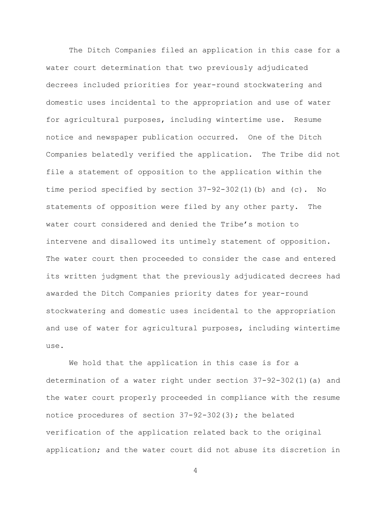The Ditch Companies filed an application in this case for a water court determination that two previously adjudicated decrees included priorities for year-round stockwatering and domestic uses incidental to the appropriation and use of water for agricultural purposes, including wintertime use. Resume notice and newspaper publication occurred. One of the Ditch Companies belatedly verified the application. The Tribe did not file a statement of opposition to the application within the time period specified by section 37-92-302(1)(b) and (c). No statements of opposition were filed by any other party. The water court considered and denied the Tribe's motion to intervene and disallowed its untimely statement of opposition. The water court then proceeded to consider the case and entered its written judgment that the previously adjudicated decrees had awarded the Ditch Companies priority dates for year-round stockwatering and domestic uses incidental to the appropriation and use of water for agricultural purposes, including wintertime use.

We hold that the application in this case is for a determination of a water right under section 37-92-302(1)(a) and the water court properly proceeded in compliance with the resume notice procedures of section 37-92-302(3); the belated verification of the application related back to the original application; and the water court did not abuse its discretion in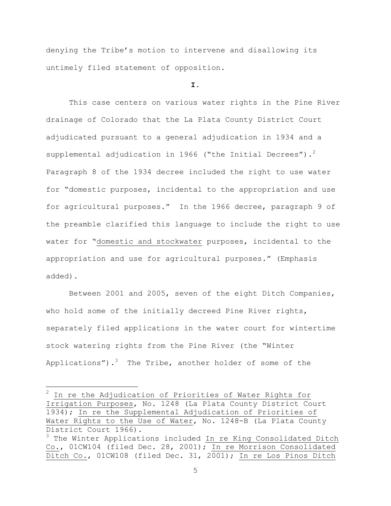denying the Tribe"s motion to intervene and disallowing its untimely filed statement of opposition.

#### **I.**

This case centers on various water rights in the Pine River drainage of Colorado that the La Plata County District Court adjudicated pursuant to a general adjudication in 1934 and a supplemental adjudication in 1966 ("the Initial Decrees").<sup>2</sup> Paragraph 8 of the 1934 decree included the right to use water for "domestic purposes, incidental to the appropriation and use for agricultural purposes." In the 1966 decree, paragraph 9 of the preamble clarified this language to include the right to use water for "domestic and stockwater purposes, incidental to the appropriation and use for agricultural purposes." (Emphasis added).

Between 2001 and 2005, seven of the eight Ditch Companies, who hold some of the initially decreed Pine River rights, separately filed applications in the water court for wintertime stock watering rights from the Pine River (the "Winter Applications"). $^3$  The Tribe, another holder of some of the

a<br>B

 $2$  In re the Adjudication of Priorities of Water Rights for Irrigation Purposes, No. 1248 (La Plata County District Court 1934); In re the Supplemental Adjudication of Priorities of Water Rights to the Use of Water, No. 1248-B (La Plata County District Court 1966). <sup>3</sup> The Winter Applications included In re King Consolidated Ditch

Co., 01CW104 (filed Dec. 28, 2001); In re Morrison Consolidated Ditch Co., 01CW108 (filed Dec. 31, 2001); In re Los Pinos Ditch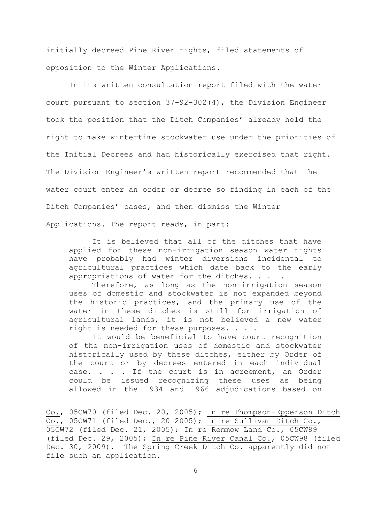initially decreed Pine River rights, filed statements of opposition to the Winter Applications.

In its written consultation report filed with the water court pursuant to section 37-92-302(4), the Division Engineer took the position that the Ditch Companies' already held the right to make wintertime stockwater use under the priorities of the Initial Decrees and had historically exercised that right. The Division Engineer"s written report recommended that the water court enter an order or decree so finding in each of the Ditch Companies' cases, and then dismiss the Winter Applications. The report reads, in part:

It is believed that all of the ditches that have applied for these non-irrigation season water rights have probably had winter diversions incidental to agricultural practices which date back to the early appropriations of water for the ditches. . . .

Therefore, as long as the non-irrigation season uses of domestic and stockwater is not expanded beyond the historic practices, and the primary use of the water in these ditches is still for irrigation of agricultural lands, it is not believed a new water right is needed for these purposes. . . .

It would be beneficial to have court recognition of the non-irrigation uses of domestic and stockwater historically used by these ditches, either by Order of the court or by decrees entered in each individual case. . . . If the court is in agreement, an Order could be issued recognizing these uses as being allowed in the 1934 and 1966 adjudications based on

L,

Co., 05CW70 (filed Dec. 20, 2005); In re Thompson-Epperson Ditch Co., 05CW71 (filed Dec., 20 2005); In re Sullivan Ditch Co., 05CW72 (filed Dec. 21, 2005); In re Remmow Land Co., 05CW89 (filed Dec. 29, 2005); In re Pine River Canal Co., 05CW98 (filed Dec. 30, 2009). The Spring Creek Ditch Co. apparently did not file such an application.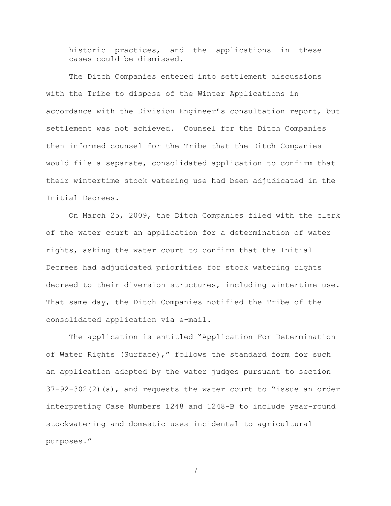historic practices, and the applications in these cases could be dismissed.

The Ditch Companies entered into settlement discussions with the Tribe to dispose of the Winter Applications in accordance with the Division Engineer"s consultation report, but settlement was not achieved. Counsel for the Ditch Companies then informed counsel for the Tribe that the Ditch Companies would file a separate, consolidated application to confirm that their wintertime stock watering use had been adjudicated in the Initial Decrees.

On March 25, 2009, the Ditch Companies filed with the clerk of the water court an application for a determination of water rights, asking the water court to confirm that the Initial Decrees had adjudicated priorities for stock watering rights decreed to their diversion structures, including wintertime use. That same day, the Ditch Companies notified the Tribe of the consolidated application via e-mail.

The application is entitled "Application For Determination of Water Rights (Surface)," follows the standard form for such an application adopted by the water judges pursuant to section  $37-92-302(2)(a)$ , and requests the water court to "issue an order interpreting Case Numbers 1248 and 1248-B to include year-round stockwatering and domestic uses incidental to agricultural purposes."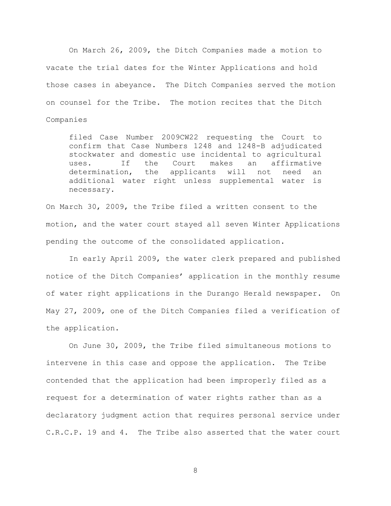On March 26, 2009, the Ditch Companies made a motion to vacate the trial dates for the Winter Applications and hold those cases in abeyance. The Ditch Companies served the motion on counsel for the Tribe. The motion recites that the Ditch Companies

filed Case Number 2009CW22 requesting the Court to confirm that Case Numbers 1248 and 1248-B adjudicated stockwater and domestic use incidental to agricultural uses. If the Court makes an affirmative determination, the applicants will not need an additional water right unless supplemental water is necessary.

On March 30, 2009, the Tribe filed a written consent to the motion, and the water court stayed all seven Winter Applications pending the outcome of the consolidated application.

In early April 2009, the water clerk prepared and published notice of the Ditch Companies' application in the monthly resume of water right applications in the Durango Herald newspaper. On May 27, 2009, one of the Ditch Companies filed a verification of the application.

On June 30, 2009, the Tribe filed simultaneous motions to intervene in this case and oppose the application. The Tribe contended that the application had been improperly filed as a request for a determination of water rights rather than as a declaratory judgment action that requires personal service under C.R.C.P. 19 and 4. The Tribe also asserted that the water court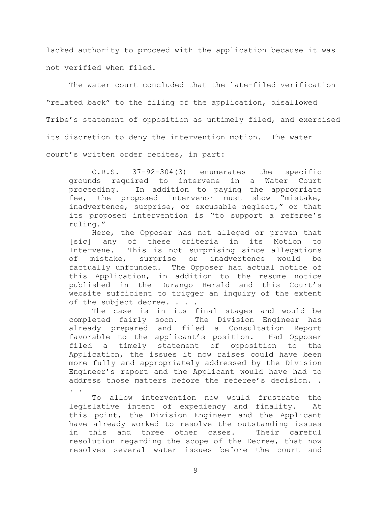lacked authority to proceed with the application because it was not verified when filed.

The water court concluded that the late-filed verification "related back" to the filing of the application, disallowed Tribe's statement of opposition as untimely filed, and exercised its discretion to deny the intervention motion. The water court's written order recites, in part:

C.R.S. 37-92-304(3) enumerates the specific grounds required to intervene in a Water Court proceeding. In addition to paying the appropriate fee, the proposed Intervenor must show "mistake, inadvertence, surprise, or excusable neglect," or that its proposed intervention is "to support a referee's ruling."

Here, the Opposer has not alleged or proven that [sic] any of these criteria in its Motion to Intervene. This is not surprising since allegations of mistake, surprise or inadvertence would be factually unfounded. The Opposer had actual notice of this Application, in addition to the resume notice published in the Durango Herald and this Court"s website sufficient to trigger an inquiry of the extent of the subject decree. . . .

The case is in its final stages and would be completed fairly soon. The Division Engineer has already prepared and filed a Consultation Report favorable to the applicant"s position. Had Opposer filed a timely statement of opposition to the Application, the issues it now raises could have been more fully and appropriately addressed by the Division Engineer"s report and the Applicant would have had to address those matters before the referee's decision.. . .

To allow intervention now would frustrate the legislative intent of expediency and finality. At this point, the Division Engineer and the Applicant have already worked to resolve the outstanding issues in this and three other cases. Their careful resolution regarding the scope of the Decree, that now resolves several water issues before the court and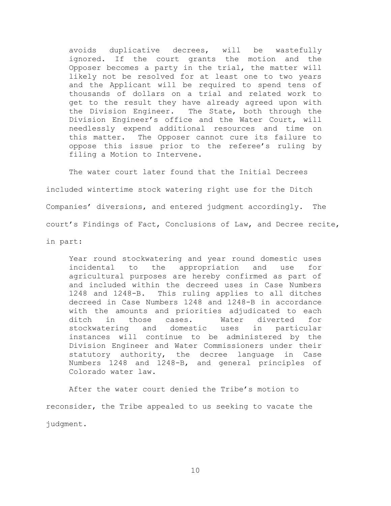avoids duplicative decrees, will be wastefully ignored. If the court grants the motion and the Opposer becomes a party in the trial, the matter will likely not be resolved for at least one to two years and the Applicant will be required to spend tens of thousands of dollars on a trial and related work to get to the result they have already agreed upon with the Division Engineer. The State, both through the Division Engineer"s office and the Water Court, will needlessly expend additional resources and time on this matter. The Opposer cannot cure its failure to oppose this issue prior to the referee"s ruling by filing a Motion to Intervene.

The water court later found that the Initial Decrees included wintertime stock watering right use for the Ditch Companies' diversions, and entered judgment accordingly. The court"s Findings of Fact, Conclusions of Law, and Decree recite, in part:

Year round stockwatering and year round domestic uses incidental to the appropriation and use for agricultural purposes are hereby confirmed as part of and included within the decreed uses in Case Numbers 1248 and 1248-B. This ruling applies to all ditches decreed in Case Numbers 1248 and 1248-B in accordance with the amounts and priorities adjudicated to each ditch in those cases. Water diverted for stockwatering and domestic uses in particular instances will continue to be administered by the Division Engineer and Water Commissioners under their statutory authority, the decree language in Case Numbers 1248 and 1248-B, and general principles of Colorado water law.

After the water court denied the Tribe"s motion to reconsider, the Tribe appealed to us seeking to vacate the judgment.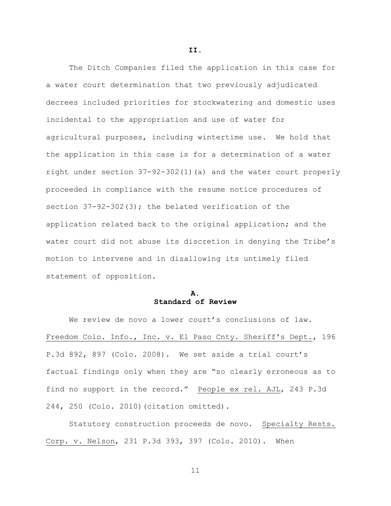The Ditch Companies filed the application in this case for a water court determination that two previously adjudicated decrees included priorities for stockwatering and domestic uses incidental to the appropriation and use of water for agricultural purposes, including wintertime use. We hold that the application in this case is for a determination of a water right under section 37-92-302(1)(a) and the water court properly proceeded in compliance with the resume notice procedures of section  $37-92-302(3)$ ; the belated verification of the application related back to the original application; and the water court did not abuse its discretion in denying the Tribe's motion to intervene and in disallowing its untimely filed statement of opposition.

# **A. Standard of Review**

We review de novo a lower court's conclusions of law. Freedom Colo. Info., Inc. v. El Paso Cnty. Sheriff's Dept., 196 P.3d 892, 897 (Colo. 2008). We set aside a trial court"s factual findings only when they are "so clearly erroneous as to find no support in the record." People ex rel. AJL, 243 P.3d 244, 250 (Colo. 2010)(citation omitted).

Statutory construction proceeds de novo. Specialty Rests. Corp. v. Nelson, 231 P.3d 393, 397 (Colo. 2010). When

**II.**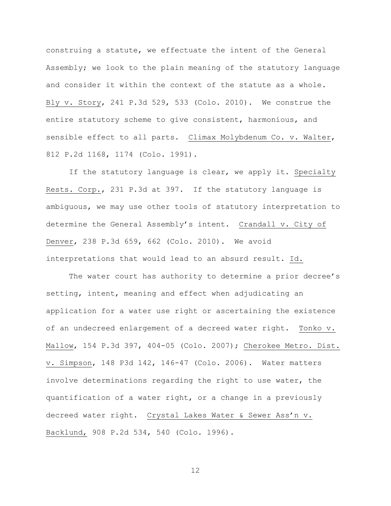construing a statute, we effectuate the intent of the General Assembly; we look to the plain meaning of the statutory language and consider it within the context of the statute as a whole. Bly v. Story, 241 P.3d 529, 533 (Colo. 2010). We construe the entire statutory scheme to give consistent, harmonious, and sensible effect to all parts. Climax Molybdenum Co. v. Walter, 812 P.2d 1168, 1174 (Colo. 1991).

If the statutory language is clear, we apply it. Specialty Rests. Corp., 231 P.3d at 397. If the statutory language is ambiguous, we may use other tools of statutory interpretation to determine the General Assembly"s intent. Crandall v. City of Denver, 238 P.3d 659, 662 (Colo. 2010). We avoid interpretations that would lead to an absurd result. Id.

The water court has authority to determine a prior decree's setting, intent, meaning and effect when adjudicating an application for a water use right or ascertaining the existence of an undecreed enlargement of a decreed water right. Tonko v. Mallow, 154 P.3d 397, 404-05 (Colo. 2007); Cherokee Metro. Dist. v. Simpson, 148 P3d 142, 146-47 (Colo. 2006). Water matters involve determinations regarding the right to use water, the quantification of a water right, or a change in a previously decreed water right. Crystal Lakes Water & Sewer Ass'n v. Backlund, 908 P.2d 534, 540 (Colo. 1996).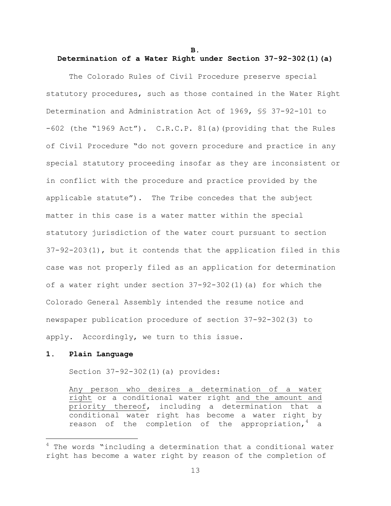**B.**

### **Determination of a Water Right under Section 37-92-302(1)(a)**

The Colorado Rules of Civil Procedure preserve special statutory procedures, such as those contained in the Water Right Determination and Administration Act of 1969, §§ 37-92-101 to -602 (the "1969 Act"). C.R.C.P. 81(a)(providing that the Rules of Civil Procedure "do not govern procedure and practice in any special statutory proceeding insofar as they are inconsistent or in conflict with the procedure and practice provided by the applicable statute"). The Tribe concedes that the subject matter in this case is a water matter within the special statutory jurisdiction of the water court pursuant to section 37-92-203(1), but it contends that the application filed in this case was not properly filed as an application for determination of a water right under section 37-92-302(1)(a) for which the Colorado General Assembly intended the resume notice and newspaper publication procedure of section 37-92-302(3) to apply. Accordingly, we turn to this issue.

### **1. Plain Language**

a<br>B

Section 37-92-302(1)(a) provides:

Any person who desires a determination of a water right or a conditional water right and the amount and priority thereof, including a determination that a conditional water right has become a water right by reason of the completion of the appropriation, $4\alpha$  a

 $4$  The words "including a determination that a conditional water right has become a water right by reason of the completion of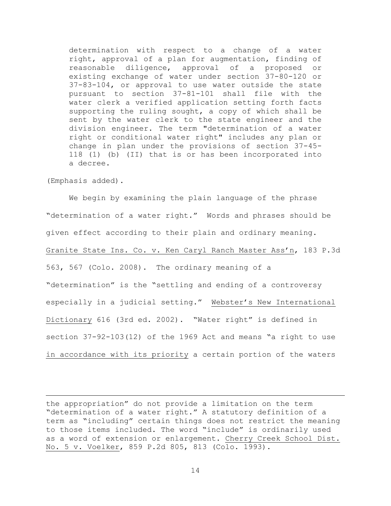determination with respect to a change of a water right, approval of a plan for augmentation, finding of reasonable diligence, approval of a proposed or existing exchange of water under section 37-80-120 or 37-83-104, or approval to use water outside the state pursuant to section 37-81-101 shall file with the water clerk a verified application setting forth facts supporting the ruling sought, a copy of which shall be sent by the water clerk to the state engineer and the division engineer. The term "determination of a water right or conditional water right" includes any plan or change in plan under the provisions of section 37-45- 118 (1) (b) (II) that is or has been incorporated into a decree.

(Emphasis added).

a<br>B

We begin by examining the plain language of the phrase "determination of a water right." Words and phrases should be given effect according to their plain and ordinary meaning. Granite State Ins. Co. v. Ken Caryl Ranch Master Ass'n, 183 P.3d 563, 567 (Colo. 2008). The ordinary meaning of a "determination" is the "settling and ending of a controversy especially in a judicial setting." Webster's New International Dictionary 616 (3rd ed. 2002). "Water right" is defined in section 37-92-103(12) of the 1969 Act and means "a right to use in accordance with its priority a certain portion of the waters

the appropriation" do not provide a limitation on the term "determination of a water right." A statutory definition of a term as "including" certain things does not restrict the meaning to those items included. The word "include" is ordinarily used as a word of extension or enlargement. Cherry Creek School Dist. No. 5 v. Voelker, 859 P.2d 805, 813 (Colo. 1993).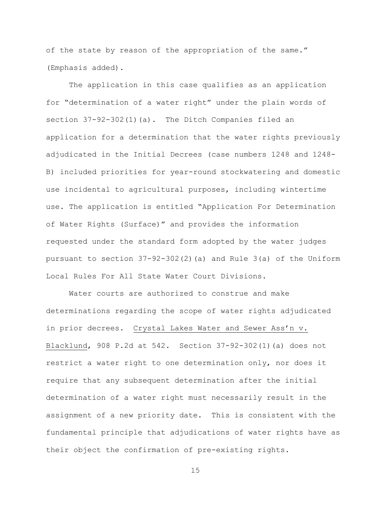of the state by reason of the appropriation of the same." (Emphasis added).

The application in this case qualifies as an application for "determination of a water right" under the plain words of section 37-92-302(1)(a). The Ditch Companies filed an application for a determination that the water rights previously adjudicated in the Initial Decrees (case numbers 1248 and 1248- B) included priorities for year-round stockwatering and domestic use incidental to agricultural purposes, including wintertime use. The application is entitled "Application For Determination of Water Rights (Surface)" and provides the information requested under the standard form adopted by the water judges pursuant to section 37-92-302(2)(a) and Rule 3(a) of the Uniform Local Rules For All State Water Court Divisions.

Water courts are authorized to construe and make determinations regarding the scope of water rights adjudicated in prior decrees. Crystal Lakes Water and Sewer Ass'n v. Blacklund, 908 P.2d at 542. Section 37-92-302(1)(a) does not restrict a water right to one determination only, nor does it require that any subsequent determination after the initial determination of a water right must necessarily result in the assignment of a new priority date. This is consistent with the fundamental principle that adjudications of water rights have as their object the confirmation of pre-existing rights.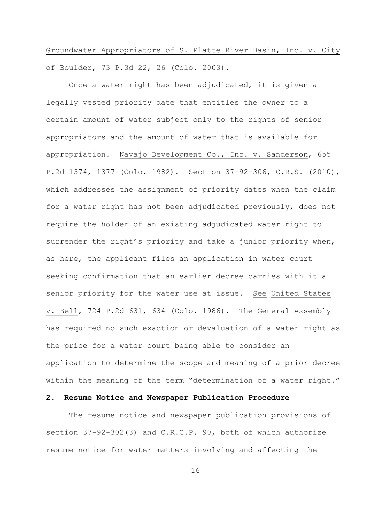Groundwater Appropriators of S. Platte River Basin, Inc. v. City of Boulder, 73 P.3d 22, 26 (Colo. 2003).

Once a water right has been adjudicated, it is given a legally vested priority date that entitles the owner to a certain amount of water subject only to the rights of senior appropriators and the amount of water that is available for appropriation. Navajo Development Co., Inc. v. Sanderson, 655 P.2d 1374, 1377 (Colo. 1982). Section 37-92-306, C.R.S. (2010), which addresses the assignment of priority dates when the claim for a water right has not been adjudicated previously, does not require the holder of an existing adjudicated water right to surrender the right's priority and take a junior priority when, as here, the applicant files an application in water court seeking confirmation that an earlier decree carries with it a senior priority for the water use at issue. See United States v. Bell, 724 P.2d 631, 634 (Colo. 1986). The General Assembly has required no such exaction or devaluation of a water right as the price for a water court being able to consider an application to determine the scope and meaning of a prior decree within the meaning of the term "determination of a water right."

### **2. Resume Notice and Newspaper Publication Procedure**

The resume notice and newspaper publication provisions of section 37-92-302(3) and C.R.C.P. 90, both of which authorize resume notice for water matters involving and affecting the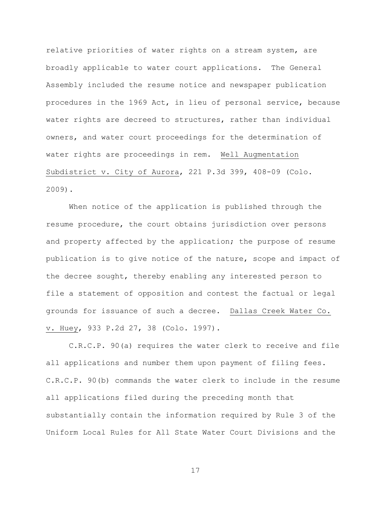relative priorities of water rights on a stream system, are broadly applicable to water court applications. The General Assembly included the resume notice and newspaper publication procedures in the 1969 Act, in lieu of personal service, because water rights are decreed to structures, rather than individual owners, and water court proceedings for the determination of water rights are proceedings in rem. Well Augmentation Subdistrict v. City of Aurora, 221 P.3d 399, 408-09 (Colo. 2009).

When notice of the application is published through the resume procedure, the court obtains jurisdiction over persons and property affected by the application; the purpose of resume publication is to give notice of the nature, scope and impact of the decree sought, thereby enabling any interested person to file a statement of opposition and contest the factual or legal grounds for issuance of such a decree. Dallas Creek Water Co. v. Huey, 933 P.2d 27, 38 (Colo. 1997).

C.R.C.P. 90(a) requires the water clerk to receive and file all applications and number them upon payment of filing fees. C.R.C.P. 90(b) commands the water clerk to include in the resume all applications filed during the preceding month that substantially contain the information required by Rule 3 of the Uniform Local Rules for All State Water Court Divisions and the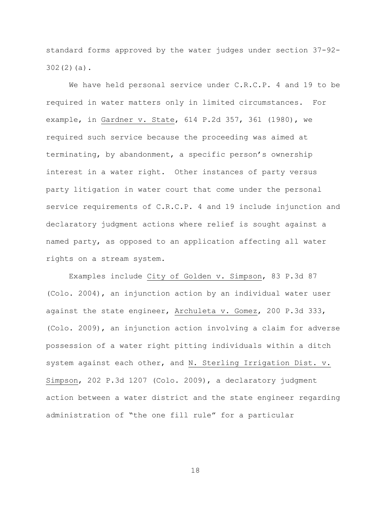standard forms approved by the water judges under section 37-92- 302(2)(a).

We have held personal service under C.R.C.P. 4 and 19 to be required in water matters only in limited circumstances. For example, in Gardner v. State, 614 P.2d 357, 361 (1980), we required such service because the proceeding was aimed at terminating, by abandonment, a specific person"s ownership interest in a water right. Other instances of party versus party litigation in water court that come under the personal service requirements of C.R.C.P. 4 and 19 include injunction and declaratory judgment actions where relief is sought against a named party, as opposed to an application affecting all water rights on a stream system.

Examples include City of Golden v. Simpson, 83 P.3d 87 (Colo. 2004), an injunction action by an individual water user against the state engineer, Archuleta v. Gomez, 200 P.3d 333, (Colo. 2009), an injunction action involving a claim for adverse possession of a water right pitting individuals within a ditch system against each other, and N. Sterling Irrigation Dist. v. Simpson, 202 P.3d 1207 (Colo. 2009), a declaratory judgment action between a water district and the state engineer regarding administration of "the one fill rule" for a particular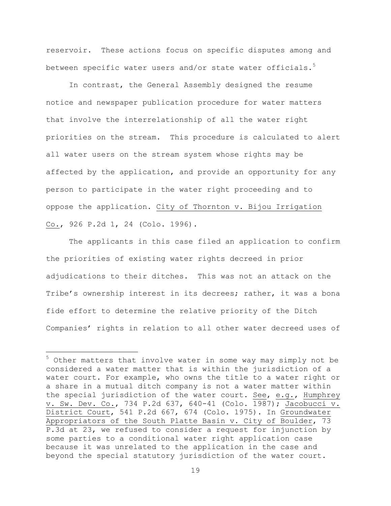reservoir. These actions focus on specific disputes among and between specific water users and/or state water officials.<sup>5</sup>

In contrast, the General Assembly designed the resume notice and newspaper publication procedure for water matters that involve the interrelationship of all the water right priorities on the stream. This procedure is calculated to alert all water users on the stream system whose rights may be affected by the application, and provide an opportunity for any person to participate in the water right proceeding and to oppose the application. City of Thornton v. Bijou Irrigation Co., 926 P.2d 1, 24 (Colo. 1996).

The applicants in this case filed an application to confirm the priorities of existing water rights decreed in prior adjudications to their ditches. This was not an attack on the Tribe's ownership interest in its decrees; rather, it was a bona fide effort to determine the relative priority of the Ditch Companies' rights in relation to all other water decreed uses of

a<br>B

 $5$  Other matters that involve water in some way may simply not be considered a water matter that is within the jurisdiction of a water court. For example, who owns the title to a water right or a share in a mutual ditch company is not a water matter within the special jurisdiction of the water court. See, e.g., Humphrey v. Sw. Dev. Co., 734 P.2d 637, 640-41 (Colo. 1987); Jacobucci v. District Court, 541 P.2d 667, 674 (Colo. 1975). In Groundwater Appropriators of the South Platte Basin v. City of Boulder, 73 P.3d at 23, we refused to consider a request for injunction by some parties to a conditional water right application case because it was unrelated to the application in the case and beyond the special statutory jurisdiction of the water court.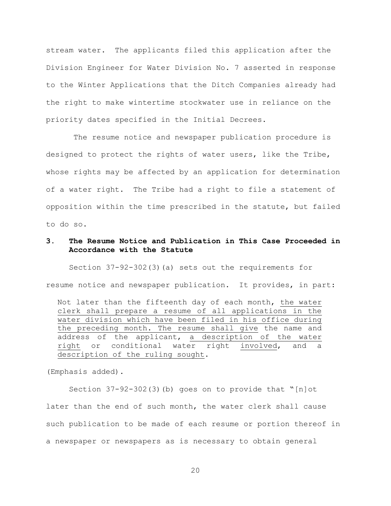stream water. The applicants filed this application after the Division Engineer for Water Division No. 7 asserted in response to the Winter Applications that the Ditch Companies already had the right to make wintertime stockwater use in reliance on the priority dates specified in the Initial Decrees.

The resume notice and newspaper publication procedure is designed to protect the rights of water users, like the Tribe, whose rights may be affected by an application for determination of a water right. The Tribe had a right to file a statement of opposition within the time prescribed in the statute, but failed to do so.

## **3. The Resume Notice and Publication in This Case Proceeded in Accordance with the Statute**

Section 37-92-302(3)(a) sets out the requirements for resume notice and newspaper publication. It provides, in part:

Not later than the fifteenth day of each month, the water clerk shall prepare a resume of all applications in the water division which have been filed in his office during the preceding month. The resume shall give the name and address of the applicant, a description of the water right or conditional water right involved, and a description of the ruling sought.

(Emphasis added).

Section 37-92-302(3)(b) goes on to provide that "[n]ot later than the end of such month, the water clerk shall cause such publication to be made of each resume or portion thereof in a newspaper or newspapers as is necessary to obtain general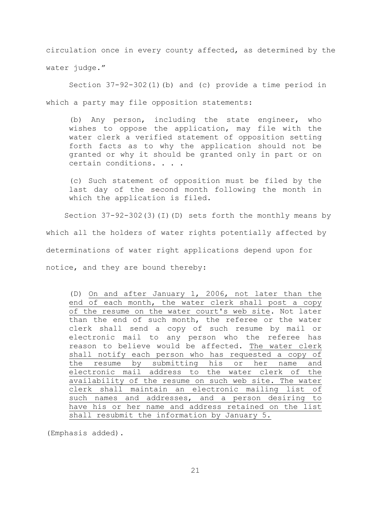circulation once in every county affected, as determined by the water judge."

 Section 37-92-302(1)(b) and (c) provide a time period in which a party may file opposition statements:

(b) Any person, including the state engineer, who wishes to oppose the application, may file with the water clerk a verified statement of opposition setting forth facts as to why the application should not be granted or why it should be granted only in part or on certain conditions. . . .

(c) Such statement of opposition must be filed by the last day of the second month following the month in which the application is filed.

 Section 37-92-302(3)(I)(D) sets forth the monthly means by which all the holders of water rights potentially affected by determinations of water right applications depend upon for notice, and they are bound thereby:

(D) On and after January 1, 2006, not later than the end of each month, the water clerk shall post a copy of the resume on the water court's web site. Not later than the end of such month, the referee or the water clerk shall send a copy of such resume by mail or electronic mail to any person who the referee has reason to believe would be affected. The water clerk shall notify each person who has requested a copy of the resume by submitting his or her name and electronic mail address to the water clerk of the availability of the resume on such web site. The water clerk shall maintain an electronic mailing list of such names and addresses, and a person desiring to have his or her name and address retained on the list shall resubmit the information by January 5.

(Emphasis added).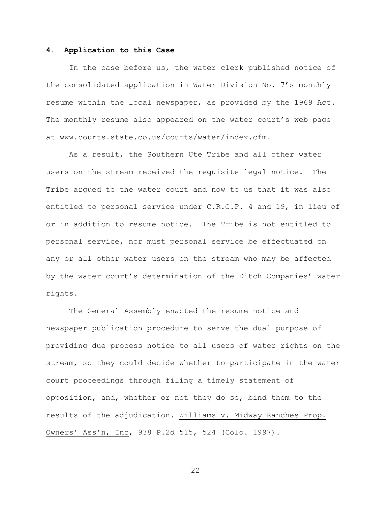#### **4. Application to this Case**

In the case before us, the water clerk published notice of the consolidated application in Water Division No. 7"s monthly resume within the local newspaper, as provided by the 1969 Act. The monthly resume also appeared on the water court's web page at www.courts.state.co.us/courts/water/index.cfm.

As a result, the Southern Ute Tribe and all other water users on the stream received the requisite legal notice. The Tribe argued to the water court and now to us that it was also entitled to personal service under C.R.C.P. 4 and 19, in lieu of or in addition to resume notice. The Tribe is not entitled to personal service, nor must personal service be effectuated on any or all other water users on the stream who may be affected by the water court's determination of the Ditch Companies' water rights.

The General Assembly enacted the resume notice and newspaper publication procedure to serve the dual purpose of providing due process notice to all users of water rights on the stream, so they could decide whether to participate in the water court proceedings through filing a timely statement of opposition, and, whether or not they do so, bind them to the results of the adjudication. Williams v. Midway Ranches Prop. Owners' Ass'n, Inc, 938 P.2d 515, 524 (Colo. 1997).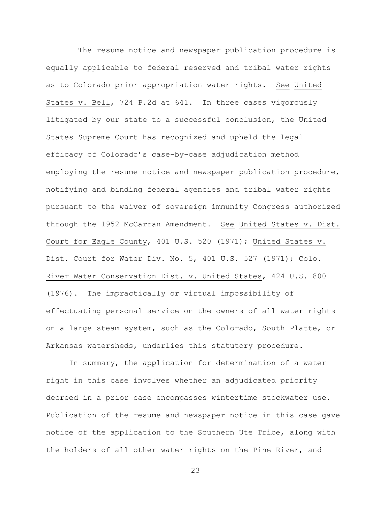The resume notice and newspaper publication procedure is equally applicable to federal reserved and tribal water rights as to Colorado prior appropriation water rights. See United States v. Bell, 724 P.2d at 641. In three cases vigorously litigated by our state to a successful conclusion, the United States Supreme Court has recognized and upheld the legal efficacy of Colorado"s case-by-case adjudication method employing the resume notice and newspaper publication procedure, notifying and binding federal agencies and tribal water rights pursuant to the waiver of sovereign immunity Congress authorized through the 1952 McCarran Amendment. See United States v. Dist. Court for Eagle County, 401 U.S. 520 (1971); United States v. Dist. Court for Water Div. No. 5, 401 U.S. 527 (1971); Colo. River Water Conservation Dist. v. United States, 424 U.S. 800 (1976). The impractically or virtual impossibility of effectuating personal service on the owners of all water rights on a large steam system, such as the Colorado, South Platte, or Arkansas watersheds, underlies this statutory procedure.

In summary, the application for determination of a water right in this case involves whether an adjudicated priority decreed in a prior case encompasses wintertime stockwater use. Publication of the resume and newspaper notice in this case gave notice of the application to the Southern Ute Tribe, along with the holders of all other water rights on the Pine River, and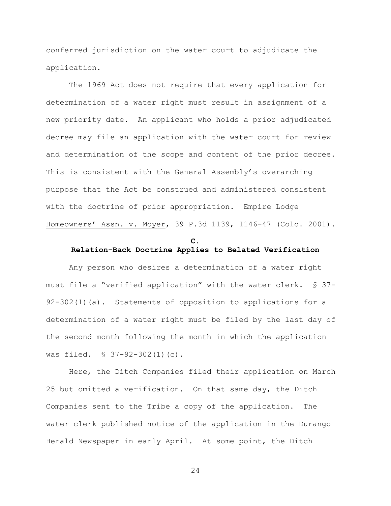conferred jurisdiction on the water court to adjudicate the application.

The 1969 Act does not require that every application for determination of a water right must result in assignment of a new priority date. An applicant who holds a prior adjudicated decree may file an application with the water court for review and determination of the scope and content of the prior decree. This is consistent with the General Assembly"s overarching purpose that the Act be construed and administered consistent with the doctrine of prior appropriation. Empire Lodge Homeowners" Assn. v. Moyer, 39 P.3d 1139, 1146-47 (Colo. 2001).

# **C. Relation-Back Doctrine Applies to Belated Verification**

Any person who desires a determination of a water right must file a "verified application" with the water clerk. § 37- 92-302(1)(a). Statements of opposition to applications for a determination of a water right must be filed by the last day of the second month following the month in which the application was filed. § 37-92-302(1)(c).

Here, the Ditch Companies filed their application on March 25 but omitted a verification. On that same day, the Ditch Companies sent to the Tribe a copy of the application. The water clerk published notice of the application in the Durango Herald Newspaper in early April. At some point, the Ditch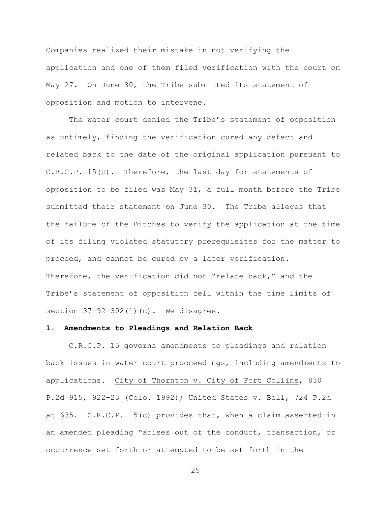Companies realized their mistake in not verifying the application and one of them filed verification with the court on May 27. On June 30, the Tribe submitted its statement of opposition and motion to intervene.

The water court denied the Tribe's statement of opposition as untimely, finding the verification cured any defect and related back to the date of the original application pursuant to C.R.C.P. 15(c). Therefore, the last day for statements of opposition to be filed was May 31, a full month before the Tribe submitted their statement on June 30. The Tribe alleges that the failure of the Ditches to verify the application at the time of its filing violated statutory prerequisites for the matter to proceed, and cannot be cured by a later verification. Therefore, the verification did not "relate back," and the Tribe"s statement of opposition fell within the time limits of section 37-92-302(1)(c). We disagree.

#### **1. Amendments to Pleadings and Relation Back**

C.R.C.P. 15 governs amendments to pleadings and relation back issues in water court procceedings, including amendments to applications. City of Thornton v. City of Fort Collins, 830 P.2d 915, 922-23 (Colo. 1992); United States v. Bell, 724 P.2d at 635. C.R.C.P. 15(c) provides that, when a claim asserted in an amended pleading "arises out of the conduct, transaction, or occurrence set forth or attempted to be set forth in the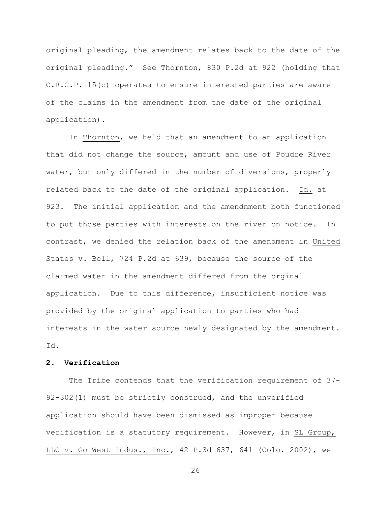original pleading, the amendment relates back to the date of the original pleading." See Thornton, 830 P.2d at 922 (holding that C.R.C.P. 15(c) operates to ensure interested parties are aware of the claims in the amendment from the date of the original application).

In Thornton, we held that an amendment to an application that did not change the source, amount and use of Poudre River water, but only differed in the number of diversions, properly related back to the date of the original application. Id. at 923. The initial application and the amendnment both functioned to put those parties with interests on the river on notice. In contrast, we denied the relation back of the amendment in United States v. Bell, 724 P.2d at 639, because the source of the claimed water in the amendment differed from the orginal application. Due to this difference, insufficient notice was provided by the original application to parties who had interests in the water source newly designated by the amendment. Id.

# **2. Verification**

The Tribe contends that the verification requirement of 37- 92-302(1) must be strictly construed, and the unverified application should have been dismissed as improper because verification is a statutory requirement. However, in SL Group, LLC v. Go West Indus., Inc., 42 P.3d 637, 641 (Colo. 2002), we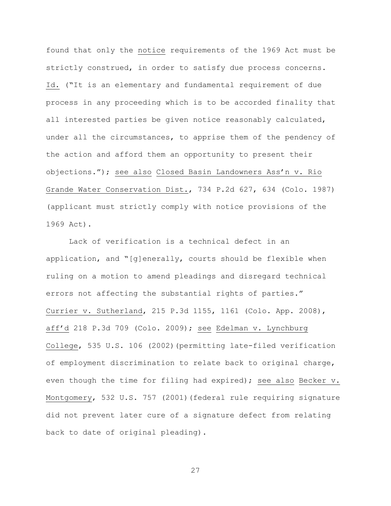found that only the notice requirements of the 1969 Act must be strictly construed, in order to satisfy due process concerns. Id. ("It is an elementary and fundamental requirement of due process in any proceeding which is to be accorded finality that all interested parties be given notice reasonably calculated, under all the circumstances, to apprise them of the pendency of the action and afford them an opportunity to present their objections."); see also Closed Basin Landowners Ass"n v. Rio Grande Water Conservation Dist., 734 P.2d 627, 634 (Colo. 1987) (applicant must strictly comply with notice provisions of the 1969 Act).

Lack of verification is a technical defect in an application, and "[g]enerally, courts should be flexible when ruling on a motion to amend pleadings and disregard technical errors not affecting the substantial rights of parties." Currier v. Sutherland, 215 P.3d 1155, 1161 (Colo. App. 2008), aff"d 218 P.3d 709 (Colo. 2009); see Edelman v. Lynchburg College, 535 U.S. 106 (2002)(permitting late-filed verification of employment discrimination to relate back to original charge, even though the time for filing had expired); see also Becker v. Montgomery, 532 U.S. 757 (2001)(federal rule requiring signature did not prevent later cure of a signature defect from relating back to date of original pleading).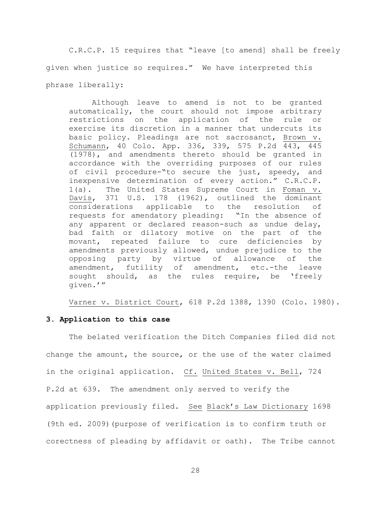C.R.C.P. 15 requires that "leave [to amend] shall be freely given when justice so requires." We have interpreted this phrase liberally:

Although leave to amend is not to be granted automatically, the court should not impose arbitrary restrictions on the application of the rule or exercise its discretion in a manner that undercuts its basic policy. Pleadings are not sacrosanct, Brown v. Schumann, 40 Colo. App. 336, 339, 575 P.2d 443, 445 (1978), and amendments thereto should be granted in accordance with the overriding purposes of our rules of civil procedure-"to secure the just, speedy, and inexpensive determination of every action." C.R.C.P. 1(a). The United States Supreme Court in Foman v. Davis, 371 U.S. 178 (1962), outlined the dominant considerations applicable to the resolution of requests for amendatory pleading: "In the absence of any apparent or declared reason-such as undue delay, bad faith or dilatory motive on the part of the movant, repeated failure to cure deficiencies by amendments previously allowed, undue prejudice to the opposing party by virtue of allowance of the amendment, futility of amendment, etc.-the leave sought should, as the rules require, be 'freely given.""

Varner v. District Court, 618 P.2d 1388, 1390 (Colo. 1980).

### **3. Application to this case**

The belated verification the Ditch Companies filed did not change the amount, the source, or the use of the water claimed in the original application. Cf. United States v. Bell, 724 P.2d at 639. The amendment only served to verify the application previously filed. See Black"s Law Dictionary 1698 (9th ed. 2009)(purpose of verification is to confirm truth or corectness of pleading by affidavit or oath). The Tribe cannot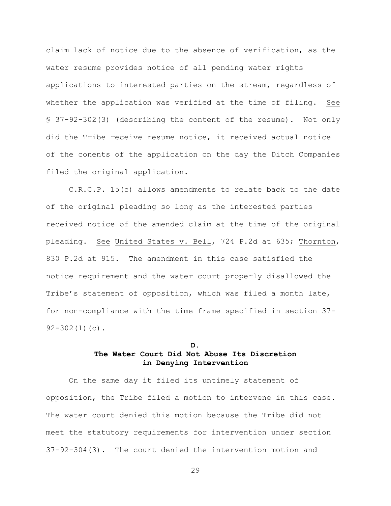claim lack of notice due to the absence of verification, as the water resume provides notice of all pending water rights applications to interested parties on the stream, regardless of whether the application was verified at the time of filing. See § 37-92-302(3) (describing the content of the resume). Not only did the Tribe receive resume notice, it received actual notice of the conents of the application on the day the Ditch Companies filed the original application.

C.R.C.P. 15(c) allows amendments to relate back to the date of the original pleading so long as the interested parties received notice of the amended claim at the time of the original pleading. See United States v. Bell, 724 P.2d at 635; Thornton, 830 P.2d at 915. The amendment in this case satisfied the notice requirement and the water court properly disallowed the Tribe's statement of opposition, which was filed a month late, for non-compliance with the time frame specified in section 37- 92-302(1)(c).

# **D. The Water Court Did Not Abuse Its Discretion in Denying Intervention**

On the same day it filed its untimely statement of opposition, the Tribe filed a motion to intervene in this case. The water court denied this motion because the Tribe did not meet the statutory requirements for intervention under section 37-92-304(3). The court denied the intervention motion and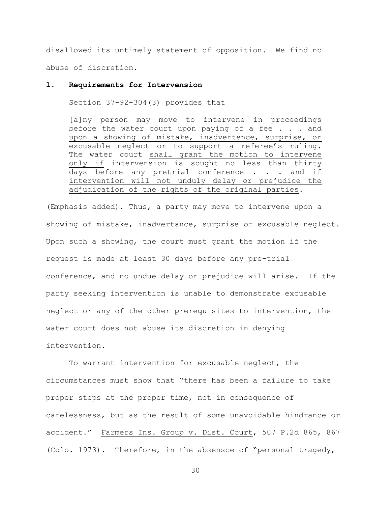disallowed its untimely statement of opposition. We find no abuse of discretion.

### **1. Requirements for Intervension**

Section 37-92-304(3) provides that

[a]ny person may move to intervene in proceedings before the water court upon paying of a fee  $\ldots$  and upon a showing of mistake, inadvertence, surprise, or excusable neglect or to support a referee's ruling. The water court shall grant the motion to intervene only if intervension is sought no less than thirty days before any pretrial conference . . . and if intervention will not unduly delay or prejudice the adjudication of the rights of the original parties.

(Emphasis added). Thus, a party may move to intervene upon a showing of mistake, inadvertance, surprise or excusable neglect. Upon such a showing, the court must grant the motion if the request is made at least 30 days before any pre-trial conference, and no undue delay or prejudice will arise. If the party seeking intervention is unable to demonstrate excusable neglect or any of the other prerequisites to intervention, the water court does not abuse its discretion in denying intervention.

To warrant intervention for excusable neglect, the circumstances must show that "there has been a failure to take proper steps at the proper time, not in consequence of carelessness, but as the result of some unavoidable hindrance or accident." Farmers Ins. Group v. Dist. Court, 507 P.2d 865, 867 (Colo. 1973). Therefore, in the absensce of "personal tragedy,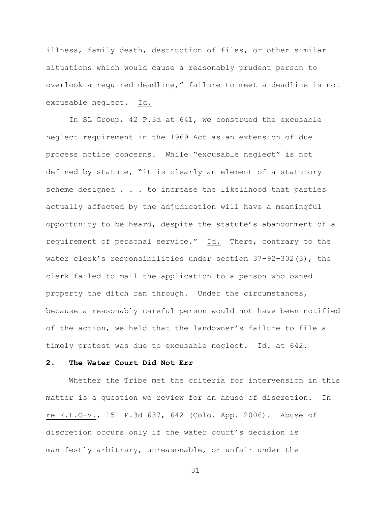illness, family death, destruction of files, or other similar situations which would cause a reasonably prudent person to overlook a required deadline," failure to meet a deadline is not excusable neglect. Id.

In SL Group, 42 P.3d at 641, we construed the excusable neglect requirement in the 1969 Act as an extension of due process notice concerns. While "excusable neglect" is not defined by statute, "it is clearly an element of a statutory scheme designed . . . to increase the likelihood that parties actually affected by the adjudication will have a meaningful opportunity to be heard, despite the statute"s abandonment of a requirement of personal service." Id. There, contrary to the water clerk's responsibilities under section  $37-92-302(3)$ , the clerk failed to mail the application to a person who owned property the ditch ran through. Under the circumstances, because a reasonably careful person would not have been notified of the action, we held that the landowner"s failure to file a timely protest was due to excusable neglect. Id. at 642.

#### **2. The Water Court Did Not Err**

Whether the Tribe met the criteria for intervension in this matter is a question we review for an abuse of discretion. In re K.L.O-V., 151 P.3d 637, 642 (Colo. App. 2006). Abuse of discretion occurs only if the water court's decision is manifestly arbitrary, unreasonable, or unfair under the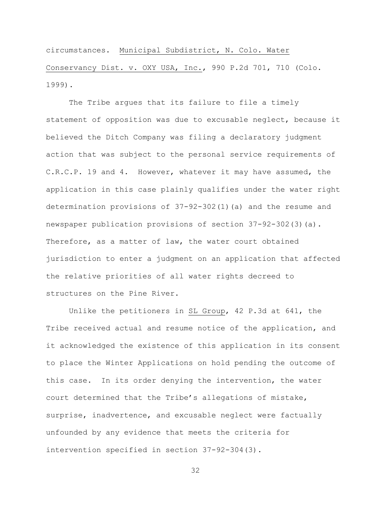circumstances. Municipal Subdistrict, N. Colo. Water Conservancy Dist. v. OXY USA, Inc., 990 P.2d 701, 710 (Colo. 1999).

The Tribe arques that its failure to file a timely statement of opposition was due to excusable neglect, because it believed the Ditch Company was filing a declaratory judgment action that was subject to the personal service requirements of C.R.C.P. 19 and 4. However, whatever it may have assumed, the application in this case plainly qualifies under the water right determination provisions of 37-92-302(1)(a) and the resume and newspaper publication provisions of section 37-92-302(3)(a). Therefore, as a matter of law, the water court obtained jurisdiction to enter a judgment on an application that affected the relative priorities of all water rights decreed to structures on the Pine River.

Unlike the petitioners in SL Group, 42 P.3d at 641, the Tribe received actual and resume notice of the application, and it acknowledged the existence of this application in its consent to place the Winter Applications on hold pending the outcome of this case. In its order denying the intervention, the water court determined that the Tribe"s allegations of mistake, surprise, inadvertence, and excusable neglect were factually unfounded by any evidence that meets the criteria for intervention specified in section 37-92-304(3).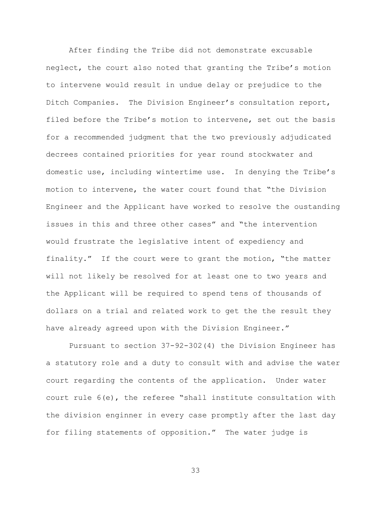After finding the Tribe did not demonstrate excusable neglect, the court also noted that granting the Tribe"s motion to intervene would result in undue delay or prejudice to the Ditch Companies. The Division Engineer"s consultation report, filed before the Tribe's motion to intervene, set out the basis for a recommended judgment that the two previously adjudicated decrees contained priorities for year round stockwater and domestic use, including wintertime use. In denying the Tribe"s motion to intervene, the water court found that "the Division Engineer and the Applicant have worked to resolve the oustanding issues in this and three other cases" and "the intervention would frustrate the legislative intent of expediency and finality." If the court were to grant the motion, "the matter will not likely be resolved for at least one to two years and the Applicant will be required to spend tens of thousands of dollars on a trial and related work to get the the result they have already agreed upon with the Division Engineer."

Pursuant to section 37-92-302(4) the Division Engineer has a statutory role and a duty to consult with and advise the water court regarding the contents of the application. Under water court rule 6(e), the referee "shall institute consultation with the division enginner in every case promptly after the last day for filing statements of opposition." The water judge is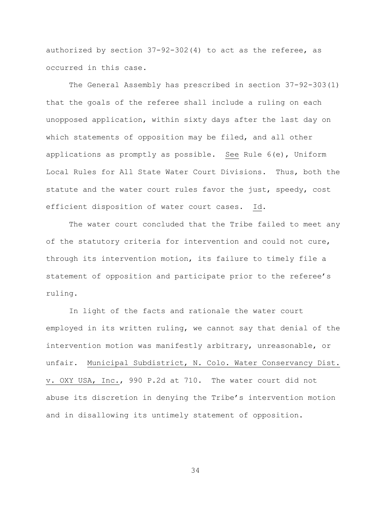authorized by section 37-92-302(4) to act as the referee, as occurred in this case.

The General Assembly has prescribed in section 37-92-303(1) that the goals of the referee shall include a ruling on each unopposed application, within sixty days after the last day on which statements of opposition may be filed, and all other applications as promptly as possible. See Rule 6(e), Uniform Local Rules for All State Water Court Divisions. Thus, both the statute and the water court rules favor the just, speedy, cost efficient disposition of water court cases. Id.

The water court concluded that the Tribe failed to meet any of the statutory criteria for intervention and could not cure, through its intervention motion, its failure to timely file a statement of opposition and participate prior to the referee"s ruling.

In light of the facts and rationale the water court employed in its written ruling, we cannot say that denial of the intervention motion was manifestly arbitrary, unreasonable, or unfair. Municipal Subdistrict, N. Colo. Water Conservancy Dist. v. OXY USA, Inc., 990 P.2d at 710. The water court did not abuse its discretion in denying the Tribe"s intervention motion and in disallowing its untimely statement of opposition.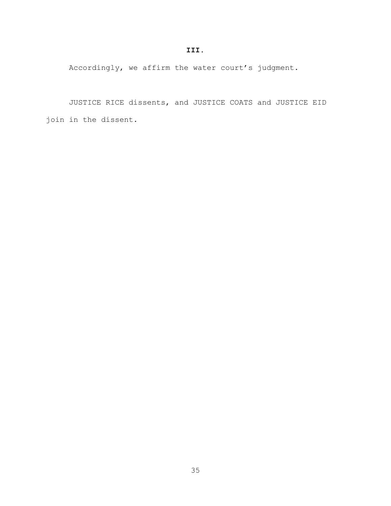Accordingly, we affirm the water court's judgment.

JUSTICE RICE dissents, and JUSTICE COATS and JUSTICE EID join in the dissent.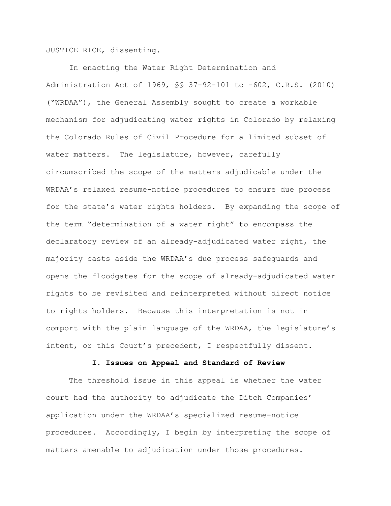JUSTICE RICE, dissenting.

In enacting the Water Right Determination and Administration Act of 1969, §§ 37-92-101 to -602, C.R.S. (2010) ("WRDAA"), the General Assembly sought to create a workable mechanism for adjudicating water rights in Colorado by relaxing the Colorado Rules of Civil Procedure for a limited subset of water matters. The legislature, however, carefully circumscribed the scope of the matters adjudicable under the WRDAA"s relaxed resume-notice procedures to ensure due process for the state's water rights holders. By expanding the scope of the term "determination of a water right" to encompass the declaratory review of an already-adjudicated water right, the majority casts aside the WRDAA"s due process safeguards and opens the floodgates for the scope of already-adjudicated water rights to be revisited and reinterpreted without direct notice to rights holders. Because this interpretation is not in comport with the plain language of the WRDAA, the legislature"s intent, or this Court's precedent, I respectfully dissent.

### **I. Issues on Appeal and Standard of Review**

The threshold issue in this appeal is whether the water court had the authority to adjudicate the Ditch Companies" application under the WRDAA"s specialized resume-notice procedures. Accordingly, I begin by interpreting the scope of matters amenable to adjudication under those procedures.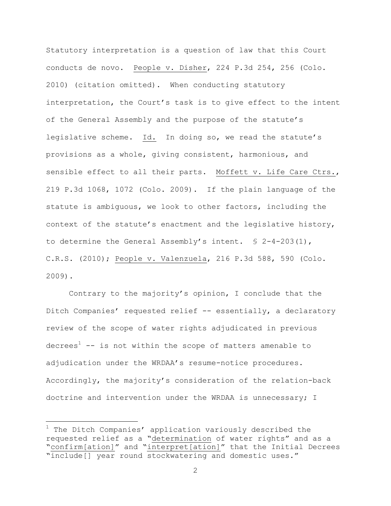Statutory interpretation is a question of law that this Court conducts de novo. People v. Disher, 224 P.3d 254, 256 (Colo. 2010) (citation omitted). When conducting statutory interpretation, the Court's task is to give effect to the intent of the General Assembly and the purpose of the statute's legislative scheme. Id. In doing so, we read the statute's provisions as a whole, giving consistent, harmonious, and sensible effect to all their parts. Moffett v. Life Care Ctrs., 219 P.3d 1068, 1072 (Colo. 2009). If the plain language of the statute is ambiguous, we look to other factors, including the context of the statute's enactment and the legislative history, to determine the General Assembly's intent.  $\$ 2-4-203(1)$ , C.R.S. (2010); People v. Valenzuela, 216 P.3d 588, 590 (Colo. 2009).

Contrary to the majority"s opinion, I conclude that the Ditch Companies' requested relief -- essentially, a declaratory review of the scope of water rights adjudicated in previous decrees<sup>1</sup> -- is not within the scope of matters amenable to adjudication under the WRDAA"s resume-notice procedures. Accordingly, the majority"s consideration of the relation-back doctrine and intervention under the WRDAA is unnecessary; I

a<br>B

 $1$  The Ditch Companies' application variously described the requested relief as a "determination of water rights" and as a "confirm[ation]" and "interpret[ation]" that the Initial Decrees "include[] year round stockwatering and domestic uses."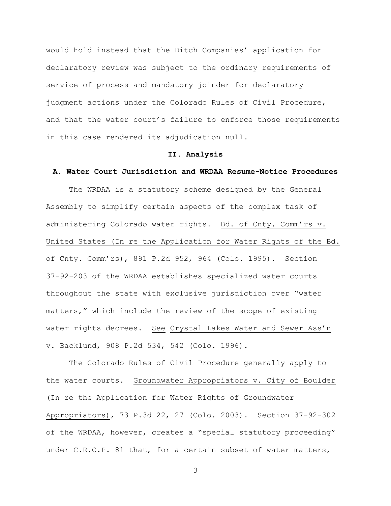would hold instead that the Ditch Companies' application for declaratory review was subject to the ordinary requirements of service of process and mandatory joinder for declaratory judgment actions under the Colorado Rules of Civil Procedure, and that the water court's failure to enforce those requirements in this case rendered its adjudication null.

### **II. Analysis**

### **A. Water Court Jurisdiction and WRDAA Resume-Notice Procedures**

The WRDAA is a statutory scheme designed by the General Assembly to simplify certain aspects of the complex task of administering Colorado water rights. Bd. of Cnty. Comm'rs v. United States (In re the Application for Water Rights of the Bd. of Cnty. Comm"rs), 891 P.2d 952, 964 (Colo. 1995). Section 37-92-203 of the WRDAA establishes specialized water courts throughout the state with exclusive jurisdiction over "water matters," which include the review of the scope of existing water rights decrees. See Crystal Lakes Water and Sewer Ass'n v. Backlund, 908 P.2d 534, 542 (Colo. 1996).

The Colorado Rules of Civil Procedure generally apply to the water courts. Groundwater Appropriators v. City of Boulder (In re the Application for Water Rights of Groundwater Appropriators), 73 P.3d 22, 27 (Colo. 2003). Section 37-92-302 of the WRDAA, however, creates a "special statutory proceeding" under C.R.C.P. 81 that, for a certain subset of water matters,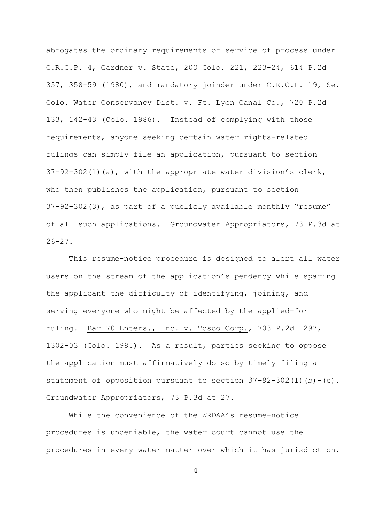abrogates the ordinary requirements of service of process under C.R.C.P. 4, Gardner v. State, 200 Colo. 221, 223-24, 614 P.2d 357, 358-59 (1980), and mandatory joinder under C.R.C.P. 19, Se. Colo. Water Conservancy Dist. v. Ft. Lyon Canal Co., 720 P.2d 133, 142-43 (Colo. 1986). Instead of complying with those requirements, anyone seeking certain water rights-related rulings can simply file an application, pursuant to section 37-92-302(1)(a), with the appropriate water division"s clerk, who then publishes the application, pursuant to section 37-92-302(3), as part of a publicly available monthly "resume" of all such applications. Groundwater Appropriators, 73 P.3d at  $26 - 27$ .

This resume-notice procedure is designed to alert all water users on the stream of the application's pendency while sparing the applicant the difficulty of identifying, joining, and serving everyone who might be affected by the applied-for ruling. Bar 70 Enters., Inc. v. Tosco Corp., 703 P.2d 1297, 1302-03 (Colo. 1985). As a result, parties seeking to oppose the application must affirmatively do so by timely filing a statement of opposition pursuant to section  $37-92-302(1)(b)-(c)$ . Groundwater Appropriators, 73 P.3d at 27.

While the convenience of the WRDAA's resume-notice procedures is undeniable, the water court cannot use the procedures in every water matter over which it has jurisdiction.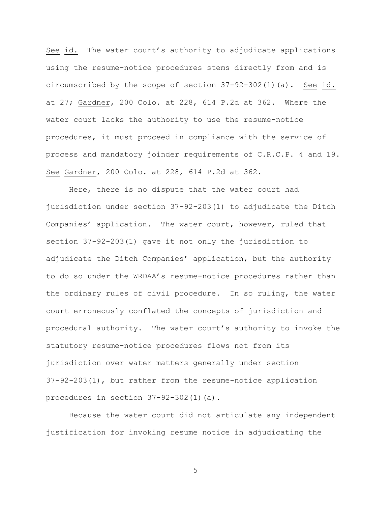See id. The water court's authority to adjudicate applications using the resume-notice procedures stems directly from and is circumscribed by the scope of section 37-92-302(1)(a). See id. at 27; Gardner, 200 Colo. at 228, 614 P.2d at 362. Where the water court lacks the authority to use the resume-notice procedures, it must proceed in compliance with the service of process and mandatory joinder requirements of C.R.C.P. 4 and 19. See Gardner, 200 Colo. at 228, 614 P.2d at 362.

Here, there is no dispute that the water court had jurisdiction under section 37-92-203(1) to adjudicate the Ditch Companies' application. The water court, however, ruled that section 37-92-203(1) gave it not only the jurisdiction to adjudicate the Ditch Companies" application, but the authority to do so under the WRDAA"s resume-notice procedures rather than the ordinary rules of civil procedure. In so ruling, the water court erroneously conflated the concepts of jurisdiction and procedural authority. The water court"s authority to invoke the statutory resume-notice procedures flows not from its jurisdiction over water matters generally under section 37-92-203(1), but rather from the resume-notice application procedures in section 37-92-302(1)(a).

Because the water court did not articulate any independent justification for invoking resume notice in adjudicating the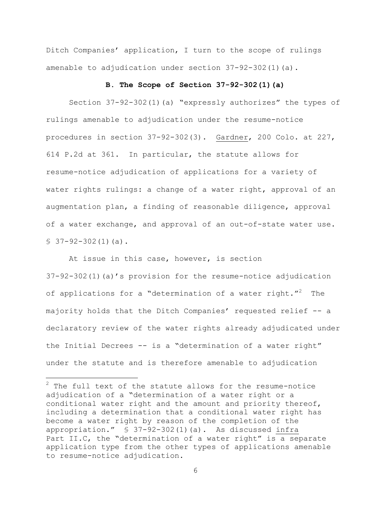Ditch Companies' application, I turn to the scope of rulings amenable to adjudication under section 37-92-302(1)(a).

### **B. The Scope of Section 37-92-302(1)(a)**

Section 37-92-302(1)(a) "expressly authorizes" the types of rulings amenable to adjudication under the resume-notice procedures in section 37-92-302(3). Gardner, 200 Colo. at 227, 614 P.2d at 361. In particular, the statute allows for resume-notice adjudication of applications for a variety of water rights rulings: a change of a water right, approval of an augmentation plan, a finding of reasonable diligence, approval of a water exchange, and approval of an out-of-state water use.  $$37-92-302(1)(a).$ 

At issue in this case, however, is section 37-92-302(1)(a)"s provision for the resume-notice adjudication of applications for a "determination of a water right."<sup>2</sup> The majority holds that the Ditch Companies' requested relief -- a declaratory review of the water rights already adjudicated under the Initial Decrees -- is a "determination of a water right" under the statute and is therefore amenable to adjudication

a<br>B

 $2$  The full text of the statute allows for the resume-notice adjudication of a "determination of a water right or a conditional water right and the amount and priority thereof, including a determination that a conditional water right has become a water right by reason of the completion of the appropriation." § 37-92-302(1)(a). As discussed infra Part II.C, the "determination of a water right" is a separate application type from the other types of applications amenable to resume-notice adjudication.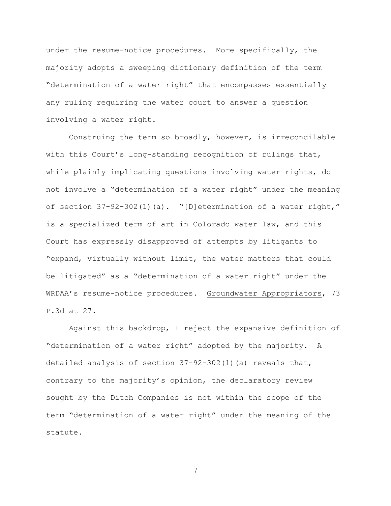under the resume-notice procedures. More specifically, the majority adopts a sweeping dictionary definition of the term "determination of a water right" that encompasses essentially any ruling requiring the water court to answer a question involving a water right.

Construing the term so broadly, however, is irreconcilable with this Court's long-standing recognition of rulings that, while plainly implicating questions involving water rights, do not involve a "determination of a water right" under the meaning of section 37-92-302(1)(a). "[D]etermination of a water right," is a specialized term of art in Colorado water law, and this Court has expressly disapproved of attempts by litigants to "expand, virtually without limit, the water matters that could be litigated" as a "determination of a water right" under the WRDAA"s resume-notice procedures. Groundwater Appropriators, 73 P.3d at 27.

Against this backdrop, I reject the expansive definition of "determination of a water right" adopted by the majority. A detailed analysis of section 37-92-302(1)(a) reveals that, contrary to the majority's opinion, the declaratory review sought by the Ditch Companies is not within the scope of the term "determination of a water right" under the meaning of the statute.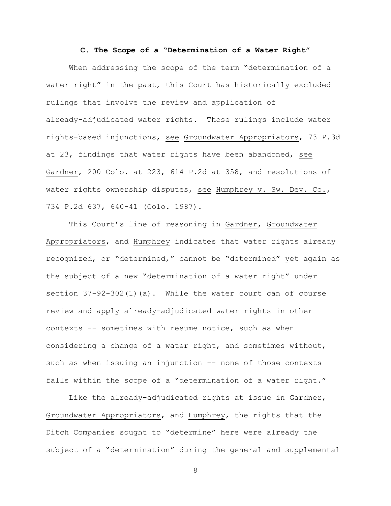#### **C. The Scope of a "Determination of a Water Right"**

When addressing the scope of the term "determination of a water right" in the past, this Court has historically excluded rulings that involve the review and application of already-adjudicated water rights. Those rulings include water rights-based injunctions, see Groundwater Appropriators, 73 P.3d at 23, findings that water rights have been abandoned, see Gardner, 200 Colo. at 223, 614 P.2d at 358, and resolutions of water rights ownership disputes, see Humphrey v. Sw. Dev. Co., 734 P.2d 637, 640-41 (Colo. 1987).

This Court's line of reasoning in Gardner, Groundwater Appropriators, and Humphrey indicates that water rights already recognized, or "determined," cannot be "determined" yet again as the subject of a new "determination of a water right" under section 37-92-302(1)(a). While the water court can of course review and apply already-adjudicated water rights in other contexts -- sometimes with resume notice, such as when considering a change of a water right, and sometimes without, such as when issuing an injunction -- none of those contexts falls within the scope of a "determination of a water right."

Like the already-adjudicated rights at issue in Gardner, Groundwater Appropriators, and Humphrey, the rights that the Ditch Companies sought to "determine" here were already the subject of a "determination" during the general and supplemental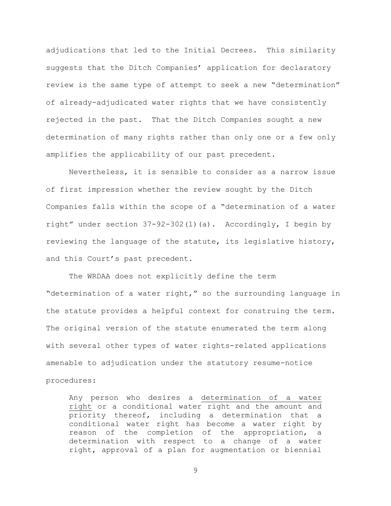adjudications that led to the Initial Decrees. This similarity suggests that the Ditch Companies' application for declaratory review is the same type of attempt to seek a new "determination" of already-adjudicated water rights that we have consistently rejected in the past. That the Ditch Companies sought a new determination of many rights rather than only one or a few only amplifies the applicability of our past precedent.

Nevertheless, it is sensible to consider as a narrow issue of first impression whether the review sought by the Ditch Companies falls within the scope of a "determination of a water right" under section 37-92-302(1)(a). Accordingly, I begin by reviewing the language of the statute, its legislative history, and this Court's past precedent.

The WRDAA does not explicitly define the term "determination of a water right," so the surrounding language in the statute provides a helpful context for construing the term. The original version of the statute enumerated the term along with several other types of water rights-related applications amenable to adjudication under the statutory resume-notice procedures:

Any person who desires a determination of a water right or a conditional water right and the amount and priority thereof, including a determination that a conditional water right has become a water right by reason of the completion of the appropriation, a determination with respect to a change of a water right, approval of a plan for augmentation or biennial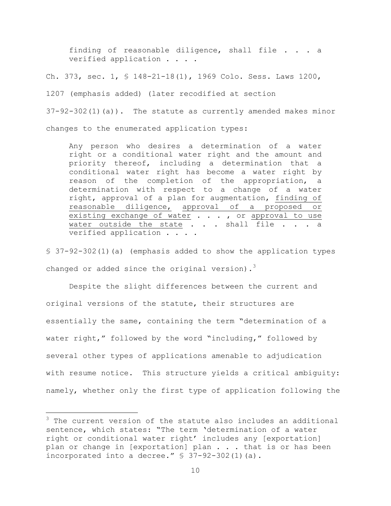finding of reasonable diligence, shall file . . . a verified application . . . .

Ch. 373, sec. 1, § 148-21-18(1), 1969 Colo. Sess. Laws 1200,

1207 (emphasis added) (later recodified at section

37-92-302(1)(a)). The statute as currently amended makes minor changes to the enumerated application types:

Any person who desires a determination of a water right or a conditional water right and the amount and priority thereof, including a determination that a conditional water right has become a water right by reason of the completion of the appropriation, a determination with respect to a change of a water right, approval of a plan for augmentation, finding of reasonable diligence, approval of a proposed or existing exchange of water . . . , or approval to use water outside the state . . . shall file . . . a verified application . . . .

§ 37-92-302(1)(a) (emphasis added to show the application types changed or added since the original version).<sup>3</sup>

Despite the slight differences between the current and original versions of the statute, their structures are essentially the same, containing the term "determination of a water right," followed by the word "including," followed by several other types of applications amenable to adjudication with resume notice. This structure yields a critical ambiguity: namely, whether only the first type of application following the

a<br>B

 $3$  The current version of the statute also includes an additional sentence, which states: "The term 'determination of a water right or conditional water right' includes any [exportation] plan or change in [exportation] plan . . . that is or has been incorporated into a decree." § 37-92-302(1)(a).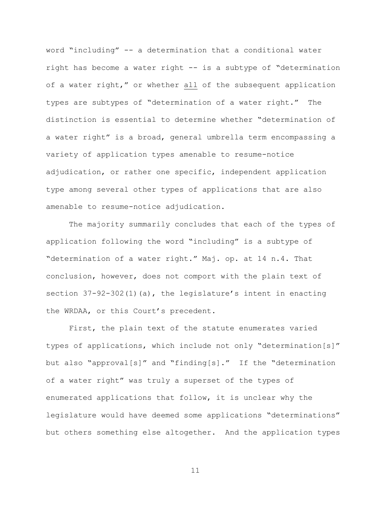word "including" -- a determination that a conditional water right has become a water right -- is a subtype of "determination of a water right," or whether all of the subsequent application types are subtypes of "determination of a water right." The distinction is essential to determine whether "determination of a water right" is a broad, general umbrella term encompassing a variety of application types amenable to resume-notice adjudication, or rather one specific, independent application type among several other types of applications that are also amenable to resume-notice adjudication.

The majority summarily concludes that each of the types of application following the word "including" is a subtype of "determination of a water right." Maj. op. at 14 n.4. That conclusion, however, does not comport with the plain text of section  $37-92-302(1)$  (a), the legislature's intent in enacting the WRDAA, or this Court's precedent.

First, the plain text of the statute enumerates varied types of applications, which include not only "determination[s]" but also "approval[s]" and "finding[s]." If the "determination of a water right" was truly a superset of the types of enumerated applications that follow, it is unclear why the legislature would have deemed some applications "determinations" but others something else altogether. And the application types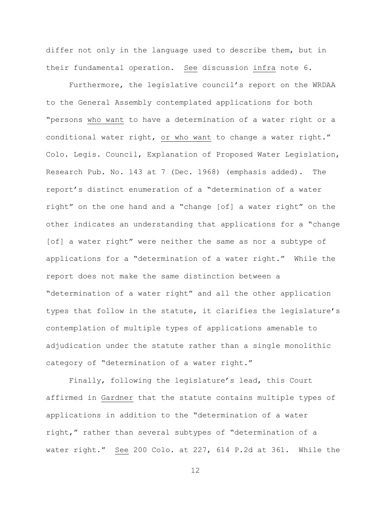differ not only in the language used to describe them, but in their fundamental operation. See discussion infra note [6.](#page-50-0)

Furthermore, the legislative council's report on the WRDAA to the General Assembly contemplated applications for both "persons who want to have a determination of a water right or a conditional water right, or who want to change a water right." Colo. Legis. Council, Explanation of Proposed Water Legislation, Research Pub. No. 143 at 7 (Dec. 1968) (emphasis added). The report"s distinct enumeration of a "determination of a water right" on the one hand and a "change [of] a water right" on the other indicates an understanding that applications for a "change [of] a water right" were neither the same as nor a subtype of applications for a "determination of a water right." While the report does not make the same distinction between a "determination of a water right" and all the other application types that follow in the statute, it clarifies the legislature's contemplation of multiple types of applications amenable to adjudication under the statute rather than a single monolithic category of "determination of a water right."

Finally, following the legislature's lead, this Court affirmed in Gardner that the statute contains multiple types of applications in addition to the "determination of a water right," rather than several subtypes of "determination of a water right." See 200 Colo. at 227, 614 P.2d at 361. While the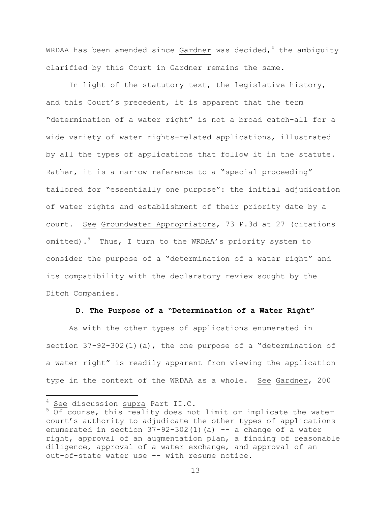WRDAA has been amended since Gardner was decided,  $4$  the ambiguity clarified by this Court in Gardner remains the same.

In light of the statutory text, the legislative history, and this Court's precedent, it is apparent that the term "determination of a water right" is not a broad catch-all for a wide variety of water rights-related applications, illustrated by all the types of applications that follow it in the statute. Rather, it is a narrow reference to a "special proceeding" tailored for "essentially one purpose": the initial adjudication of water rights and establishment of their priority date by a court. See Groundwater Appropriators, 73 P.3d at 27 (citations omitted).<sup>5</sup> Thus, I turn to the WRDAA's priority system to consider the purpose of a "determination of a water right" and its compatibility with the declaratory review sought by the Ditch Companies.

#### **D. The Purpose of a "Determination of a Water Right"**

As with the other types of applications enumerated in section  $37-92-302(1)$  (a), the one purpose of a "determination of a water right" is readily apparent from viewing the application type in the context of the WRDAA as a whole. See Gardner, 200

a<br>B

 $4$  See discussion supra Part II.C.

 $5$  Of course, this reality does not limit or implicate the water court"s authority to adjudicate the other types of applications enumerated in section  $37-92-302(1)$  (a)  $-$  a change of a water right, approval of an augmentation plan, a finding of reasonable diligence, approval of a water exchange, and approval of an out-of-state water use -- with resume notice.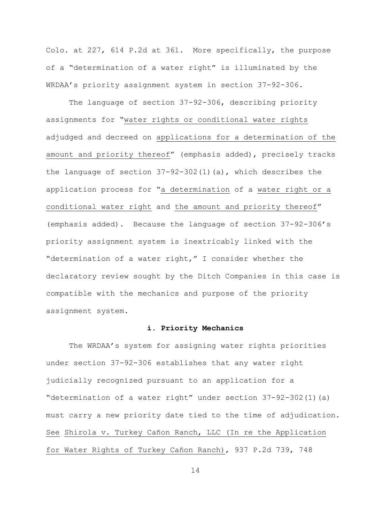Colo. at 227, 614 P.2d at 361. More specifically, the purpose of a "determination of a water right" is illuminated by the WRDAA"s priority assignment system in section 37-92-306.

The language of section 37-92-306, describing priority assignments for "water rights or conditional water rights adjudged and decreed on applications for a determination of the amount and priority thereof" (emphasis added), precisely tracks the language of section 37-92-302(1)(a), which describes the application process for "a determination of a water right or a conditional water right and the amount and priority thereof" (emphasis added). Because the language of section 37-92-306"s priority assignment system is inextricably linked with the "determination of a water right," I consider whether the declaratory review sought by the Ditch Companies in this case is compatible with the mechanics and purpose of the priority assignment system.

## **i. Priority Mechanics**

The WRDAA's system for assigning water rights priorities under section 37-92-306 establishes that any water right judicially recognized pursuant to an application for a "determination of a water right" under section 37-92-302(1)(a) must carry a new priority date tied to the time of adjudication. See Shirola v. Turkey Cañon Ranch, LLC (In re the Application for Water Rights of Turkey Cañon Ranch), 937 P.2d 739, 748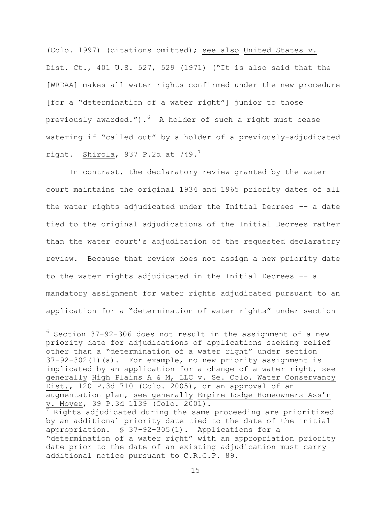(Colo. 1997) (citations omitted); see also United States v. Dist. Ct., 401 U.S. 527, 529 (1971) ("It is also said that the [WRDAA] makes all water rights confirmed under the new procedure [for a "determination of a water right"] junior to those previously awarded.").  $6$  A holder of such a right must cease watering if "called out" by a holder of a previously-adjudicated right. Shirola, 937 P.2d at  $749.^7$ 

<span id="page-50-0"></span>In contrast, the declaratory review granted by the water court maintains the original 1934 and 1965 priority dates of all the water rights adjudicated under the Initial Decrees -- a date tied to the original adjudications of the Initial Decrees rather than the water court"s adjudication of the requested declaratory review. Because that review does not assign a new priority date to the water rights adjudicated in the Initial Decrees -- a mandatory assignment for water rights adjudicated pursuant to an application for a "determination of water rights" under section

i<br>L

 $6$  Section 37-92-306 does not result in the assignment of a new priority date for adjudications of applications seeking relief other than a "determination of a water right" under section 37-92-302(1)(a). For example, no new priority assignment is implicated by an application for a change of a water right, see generally High Plains A & M, LLC v. Se. Colo. Water Conservancy Dist., 120 P.3d 710 (Colo. 2005), or an approval of an augmentation plan, see generally Empire Lodge Homeowners Ass"n v. Moyer, 39 P.3d 1139 (Colo. 2001).

 $\frac{7}{7}$  Rights adjudicated during the same proceeding are prioritized by an additional priority date tied to the date of the initial appropriation. § 37-92-305(1). Applications for a "determination of a water right" with an appropriation priority date prior to the date of an existing adjudication must carry additional notice pursuant to C.R.C.P. 89.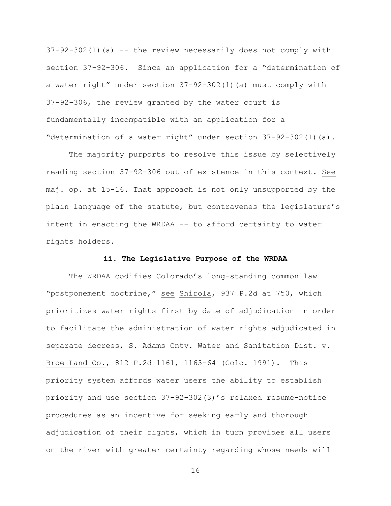$37-92-302(1)$  (a) -- the review necessarily does not comply with section 37-92-306. Since an application for a "determination of a water right" under section 37-92-302(1)(a) must comply with 37-92-306, the review granted by the water court is fundamentally incompatible with an application for a "determination of a water right" under section 37-92-302(1)(a).

The majority purports to resolve this issue by selectively reading section 37-92-306 out of existence in this context. See maj. op. at 15-16. That approach is not only unsupported by the plain language of the statute, but contravenes the legislature"s intent in enacting the WRDAA -- to afford certainty to water rights holders.

### **ii. The Legislative Purpose of the WRDAA**

The WRDAA codifies Colorado's long-standing common law "postponement doctrine," see Shirola, 937 P.2d at 750, which prioritizes water rights first by date of adjudication in order to facilitate the administration of water rights adjudicated in separate decrees, S. Adams Cnty. Water and Sanitation Dist. v. Broe Land Co., 812 P.2d 1161, 1163-64 (Colo. 1991). This priority system affords water users the ability to establish priority and use section 37-92-302(3)"s relaxed resume-notice procedures as an incentive for seeking early and thorough adjudication of their rights, which in turn provides all users on the river with greater certainty regarding whose needs will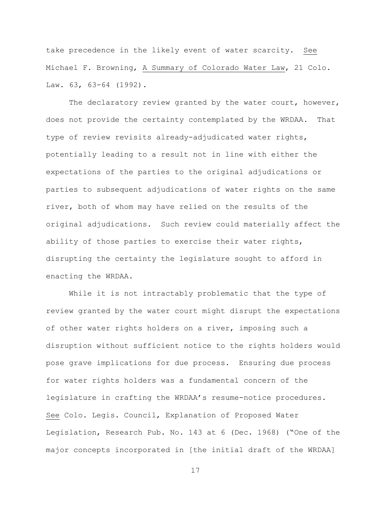take precedence in the likely event of water scarcity. See Michael F. Browning, A Summary of Colorado Water Law, 21 Colo. Law. 63, 63-64 (1992).

The declaratory review granted by the water court, however, does not provide the certainty contemplated by the WRDAA. That type of review revisits already-adjudicated water rights, potentially leading to a result not in line with either the expectations of the parties to the original adjudications or parties to subsequent adjudications of water rights on the same river, both of whom may have relied on the results of the original adjudications. Such review could materially affect the ability of those parties to exercise their water rights, disrupting the certainty the legislature sought to afford in enacting the WRDAA.

While it is not intractably problematic that the type of review granted by the water court might disrupt the expectations of other water rights holders on a river, imposing such a disruption without sufficient notice to the rights holders would pose grave implications for due process. Ensuring due process for water rights holders was a fundamental concern of the legislature in crafting the WRDAA"s resume-notice procedures. See Colo. Legis. Council, Explanation of Proposed Water Legislation, Research Pub. No. 143 at 6 (Dec. 1968) ("One of the major concepts incorporated in [the initial draft of the WRDAA]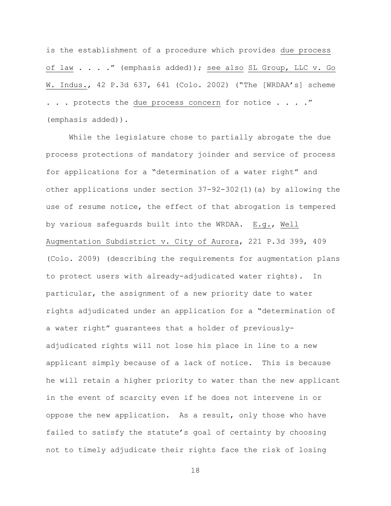is the establishment of a procedure which provides due process of law . . . ." (emphasis added)); see also SL Group, LLC v. Go W. Indus., 42 P.3d 637, 641 (Colo. 2002) ("The [WRDAA"s] scheme . . . protects the due process concern for notice . . . . " (emphasis added)).

While the legislature chose to partially abrogate the due process protections of mandatory joinder and service of process for applications for a "determination of a water right" and other applications under section 37-92-302(1)(a) by allowing the use of resume notice, the effect of that abrogation is tempered by various safeguards built into the WRDAA. E.g., Well Augmentation Subdistrict v. City of Aurora, 221 P.3d 399, 409 (Colo. 2009) (describing the requirements for augmentation plans to protect users with already-adjudicated water rights). In particular, the assignment of a new priority date to water rights adjudicated under an application for a "determination of a water right" guarantees that a holder of previouslyadjudicated rights will not lose his place in line to a new applicant simply because of a lack of notice. This is because he will retain a higher priority to water than the new applicant in the event of scarcity even if he does not intervene in or oppose the new application. As a result, only those who have failed to satisfy the statute's goal of certainty by choosing not to timely adjudicate their rights face the risk of losing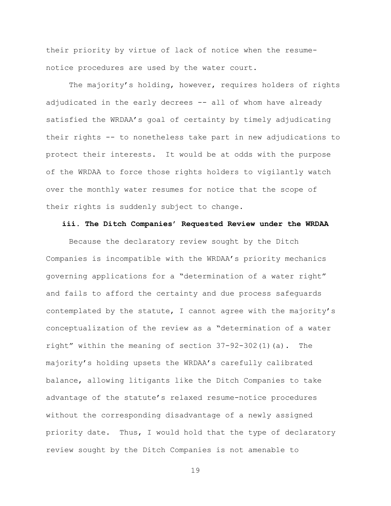their priority by virtue of lack of notice when the resumenotice procedures are used by the water court.

The majority's holding, however, requires holders of rights adjudicated in the early decrees -- all of whom have already satisfied the WRDAA"s goal of certainty by timely adjudicating their rights -- to nonetheless take part in new adjudications to protect their interests. It would be at odds with the purpose of the WRDAA to force those rights holders to vigilantly watch over the monthly water resumes for notice that the scope of their rights is suddenly subject to change.

### **iii. The Ditch Companies' Requested Review under the WRDAA**

Because the declaratory review sought by the Ditch Companies is incompatible with the WRDAA"s priority mechanics governing applications for a "determination of a water right" and fails to afford the certainty and due process safeguards contemplated by the statute, I cannot agree with the majority"s conceptualization of the review as a "determination of a water right" within the meaning of section 37-92-302(1)(a). The majority"s holding upsets the WRDAA"s carefully calibrated balance, allowing litigants like the Ditch Companies to take advantage of the statute"s relaxed resume-notice procedures without the corresponding disadvantage of a newly assigned priority date. Thus, I would hold that the type of declaratory review sought by the Ditch Companies is not amenable to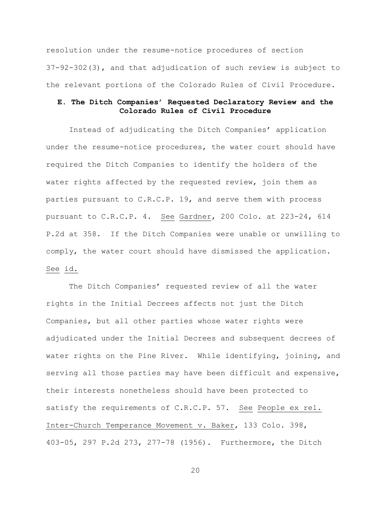resolution under the resume-notice procedures of section 37-92-302(3), and that adjudication of such review is subject to the relevant portions of the Colorado Rules of Civil Procedure.

# **E. The Ditch Companies' Requested Declaratory Review and the Colorado Rules of Civil Procedure**

Instead of adjudicating the Ditch Companies' application under the resume-notice procedures, the water court should have required the Ditch Companies to identify the holders of the water rights affected by the requested review, join them as parties pursuant to C.R.C.P. 19, and serve them with process pursuant to C.R.C.P. 4. See Gardner, 200 Colo. at 223-24, 614 P.2d at 358. If the Ditch Companies were unable or unwilling to comply, the water court should have dismissed the application. See id.

The Ditch Companies' requested review of all the water rights in the Initial Decrees affects not just the Ditch Companies, but all other parties whose water rights were adjudicated under the Initial Decrees and subsequent decrees of water rights on the Pine River. While identifying, joining, and serving all those parties may have been difficult and expensive, their interests nonetheless should have been protected to satisfy the requirements of C.R.C.P. 57. See People ex rel. Inter-Church Temperance Movement v. Baker, 133 Colo. 398, 403-05, 297 P.2d 273, 277-78 (1956). Furthermore, the Ditch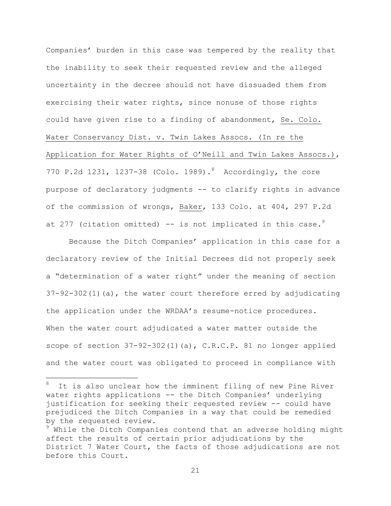Companies' burden in this case was tempered by the reality that the inability to seek their requested review and the alleged uncertainty in the decree should not have dissuaded them from exercising their water rights, since nonuse of those rights could have given rise to a finding of abandonment, Se. Colo. Water Conservancy Dist. v. Twin Lakes Assocs. (In re the Application for Water Rights of O"Neill and Twin Lakes Assocs.), 770 P.2d 1231, 1237-38 (Colo. 1989). Accordingly, the core purpose of declaratory judgments -- to clarify rights in advance of the commission of wrongs, Baker, 133 Colo. at 404, 297 P.2d at 277 (citation omitted)  $--$  is not implicated in this case.<sup>9</sup>

Because the Ditch Companies" application in this case for a declaratory review of the Initial Decrees did not properly seek a "determination of a water right" under the meaning of section  $37-92-302(1)(a)$ , the water court therefore erred by adjudicating the application under the WRDAA"s resume-notice procedures. When the water court adjudicated a water matter outside the scope of section  $37-92-302(1)(a)$ , C.R.C.P. 81 no longer applied and the water court was obligated to proceed in compliance with

It is also unclear how the imminent filing of new Pine River water rights applications -- the Ditch Companies' underlying justification for seeking their requested review -- could have prejudiced the Ditch Companies in a way that could be remedied by the requested review.

i<br>L

 $9$  While the Ditch Companies contend that an adverse holding might affect the results of certain prior adjudications by the District 7 Water Court, the facts of those adjudications are not before this Court.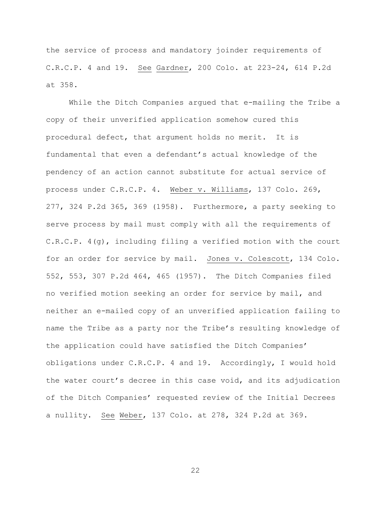the service of process and mandatory joinder requirements of C.R.C.P. 4 and 19. See Gardner, 200 Colo. at 223-24, 614 P.2d at 358.

While the Ditch Companies argued that e-mailing the Tribe a copy of their unverified application somehow cured this procedural defect, that argument holds no merit. It is fundamental that even a defendant"s actual knowledge of the pendency of an action cannot substitute for actual service of process under C.R.C.P. 4. Weber v. Williams, 137 Colo. 269, 277, 324 P.2d 365, 369 (1958). Furthermore, a party seeking to serve process by mail must comply with all the requirements of C.R.C.P. 4(g), including filing a verified motion with the court for an order for service by mail. Jones v. Colescott, 134 Colo. 552, 553, 307 P.2d 464, 465 (1957). The Ditch Companies filed no verified motion seeking an order for service by mail, and neither an e-mailed copy of an unverified application failing to name the Tribe as a party nor the Tribe's resulting knowledge of the application could have satisfied the Ditch Companies' obligations under C.R.C.P. 4 and 19. Accordingly, I would hold the water court"s decree in this case void, and its adjudication of the Ditch Companies' requested review of the Initial Decrees a nullity. See Weber, 137 Colo. at 278, 324 P.2d at 369.